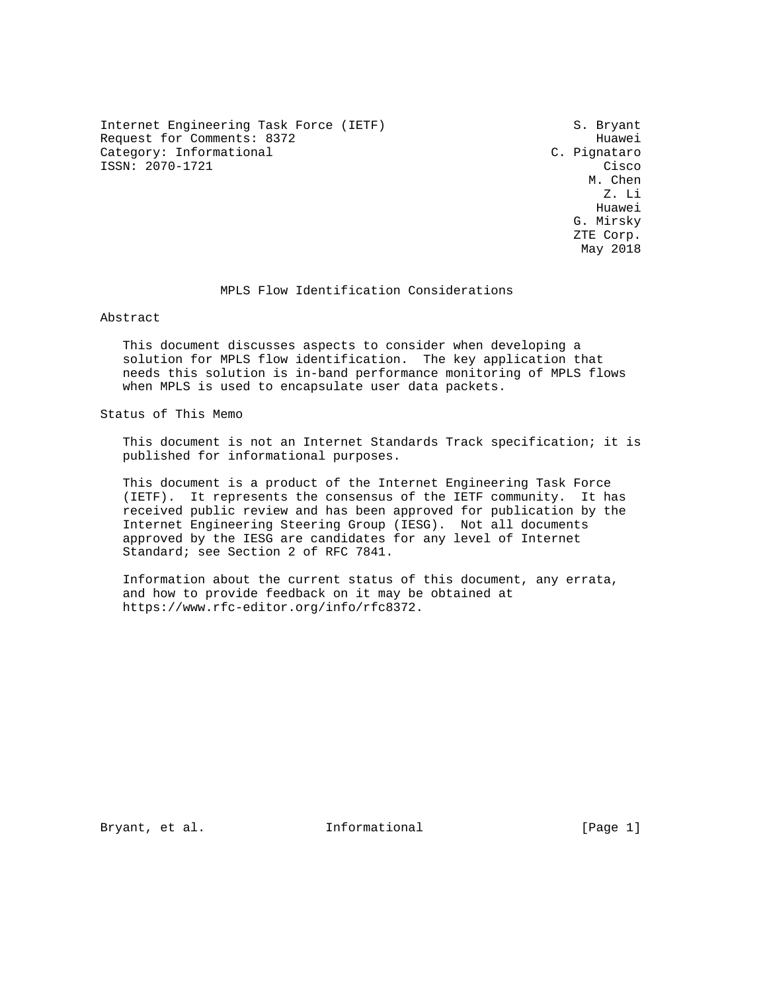Internet Engineering Task Force (IETF) S. Bryant Request for Comments: 8372 Huawei Category: Informational Category: C. Pignataro ISSN: 2070-1721 Cisco<br>M. Chen

 M. Chen Z. Li Huawei G. Mirsky ZTE Corp. May 2018

### MPLS Flow Identification Considerations

Abstract

 This document discusses aspects to consider when developing a solution for MPLS flow identification. The key application that needs this solution is in-band performance monitoring of MPLS flows when MPLS is used to encapsulate user data packets.

Status of This Memo

 This document is not an Internet Standards Track specification; it is published for informational purposes.

 This document is a product of the Internet Engineering Task Force (IETF). It represents the consensus of the IETF community. It has received public review and has been approved for publication by the Internet Engineering Steering Group (IESG). Not all documents approved by the IESG are candidates for any level of Internet Standard; see Section 2 of RFC 7841.

 Information about the current status of this document, any errata, and how to provide feedback on it may be obtained at https://www.rfc-editor.org/info/rfc8372.

Bryant, et al. 1nformational [Page 1]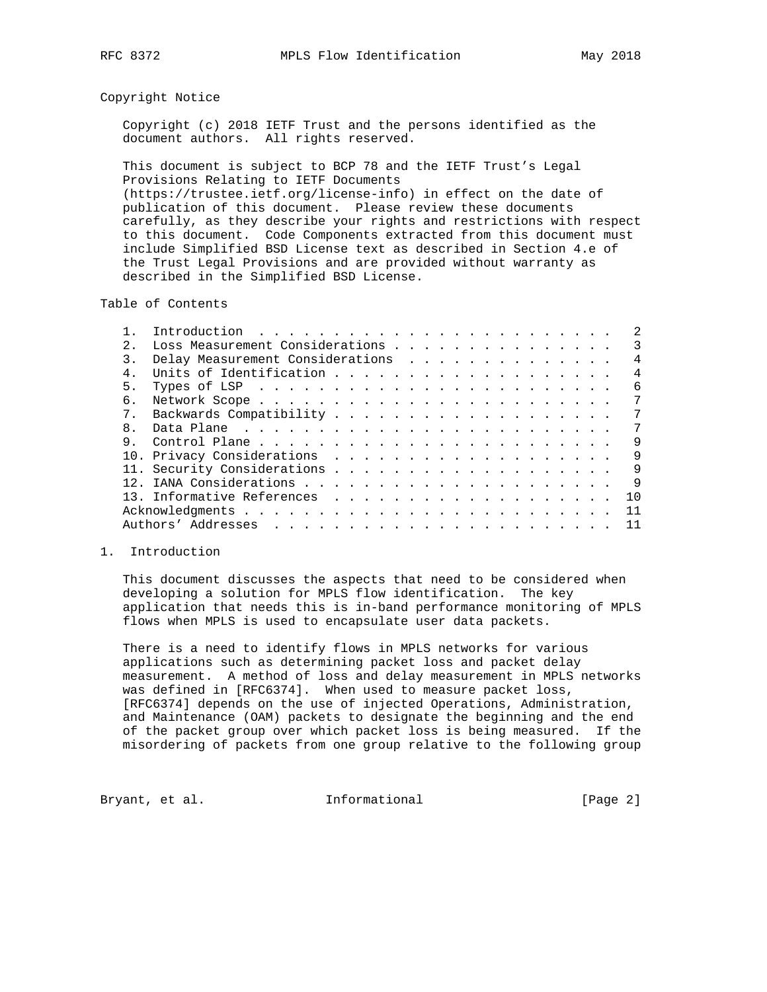### Copyright Notice

 Copyright (c) 2018 IETF Trust and the persons identified as the document authors. All rights reserved.

 This document is subject to BCP 78 and the IETF Trust's Legal Provisions Relating to IETF Documents (https://trustee.ietf.org/license-info) in effect on the date of publication of this document. Please review these documents carefully, as they describe your rights and restrictions with respect to this document. Code Components extracted from this document must include Simplified BSD License text as described in Section 4.e of the Trust Legal Provisions and are provided without warranty as described in the Simplified BSD License.

Table of Contents

| 2.    | Loss Measurement Considerations                                                                        | 3              |
|-------|--------------------------------------------------------------------------------------------------------|----------------|
|       | Delay Measurement Considerations                                                                       | 4              |
|       |                                                                                                        | $\overline{4}$ |
| 5.    | Types of LSP $\ldots$ $\ldots$ $\ldots$ $\ldots$ $\ldots$ $\ldots$ $\ldots$ $\ldots$ $\ldots$ $\ldots$ | 6              |
| б.    |                                                                                                        | 7              |
| $7$ . |                                                                                                        | 7              |
| 8.    |                                                                                                        | 7              |
| 9.    |                                                                                                        | 9              |
|       |                                                                                                        | 9              |
|       |                                                                                                        | 9              |
|       |                                                                                                        | 9              |
|       |                                                                                                        | 1 O            |
|       |                                                                                                        | 11             |
|       |                                                                                                        |                |
|       |                                                                                                        |                |

### 1. Introduction

 This document discusses the aspects that need to be considered when developing a solution for MPLS flow identification. The key application that needs this is in-band performance monitoring of MPLS flows when MPLS is used to encapsulate user data packets.

 There is a need to identify flows in MPLS networks for various applications such as determining packet loss and packet delay measurement. A method of loss and delay measurement in MPLS networks was defined in [RFC6374]. When used to measure packet loss, [RFC6374] depends on the use of injected Operations, Administration, and Maintenance (OAM) packets to designate the beginning and the end of the packet group over which packet loss is being measured. If the misordering of packets from one group relative to the following group

Bryant, et al. Informational [Page 2]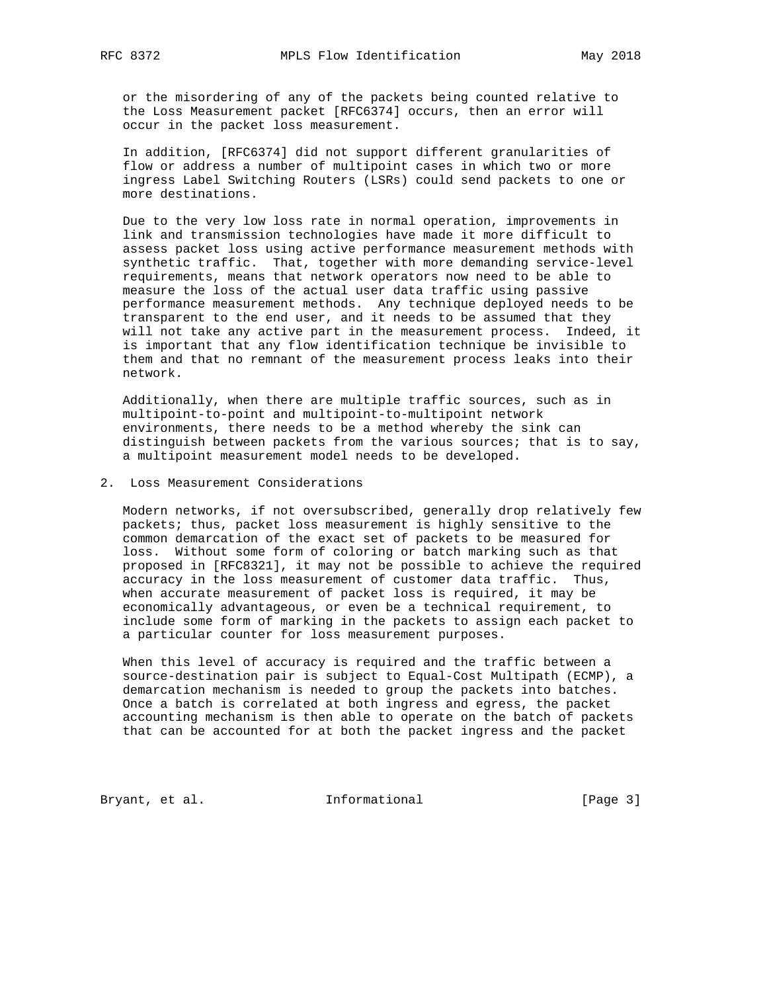or the misordering of any of the packets being counted relative to the Loss Measurement packet [RFC6374] occurs, then an error will occur in the packet loss measurement.

 In addition, [RFC6374] did not support different granularities of flow or address a number of multipoint cases in which two or more ingress Label Switching Routers (LSRs) could send packets to one or more destinations.

 Due to the very low loss rate in normal operation, improvements in link and transmission technologies have made it more difficult to assess packet loss using active performance measurement methods with synthetic traffic. That, together with more demanding service-level requirements, means that network operators now need to be able to measure the loss of the actual user data traffic using passive performance measurement methods. Any technique deployed needs to be transparent to the end user, and it needs to be assumed that they will not take any active part in the measurement process. Indeed, it is important that any flow identification technique be invisible to them and that no remnant of the measurement process leaks into their network.

 Additionally, when there are multiple traffic sources, such as in multipoint-to-point and multipoint-to-multipoint network environments, there needs to be a method whereby the sink can distinguish between packets from the various sources; that is to say, a multipoint measurement model needs to be developed.

2. Loss Measurement Considerations

 Modern networks, if not oversubscribed, generally drop relatively few packets; thus, packet loss measurement is highly sensitive to the common demarcation of the exact set of packets to be measured for loss. Without some form of coloring or batch marking such as that proposed in [RFC8321], it may not be possible to achieve the required accuracy in the loss measurement of customer data traffic. Thus, when accurate measurement of packet loss is required, it may be economically advantageous, or even be a technical requirement, to include some form of marking in the packets to assign each packet to a particular counter for loss measurement purposes.

 When this level of accuracy is required and the traffic between a source-destination pair is subject to Equal-Cost Multipath (ECMP), a demarcation mechanism is needed to group the packets into batches. Once a batch is correlated at both ingress and egress, the packet accounting mechanism is then able to operate on the batch of packets that can be accounted for at both the packet ingress and the packet

Bryant, et al. 1nformational [Page 3]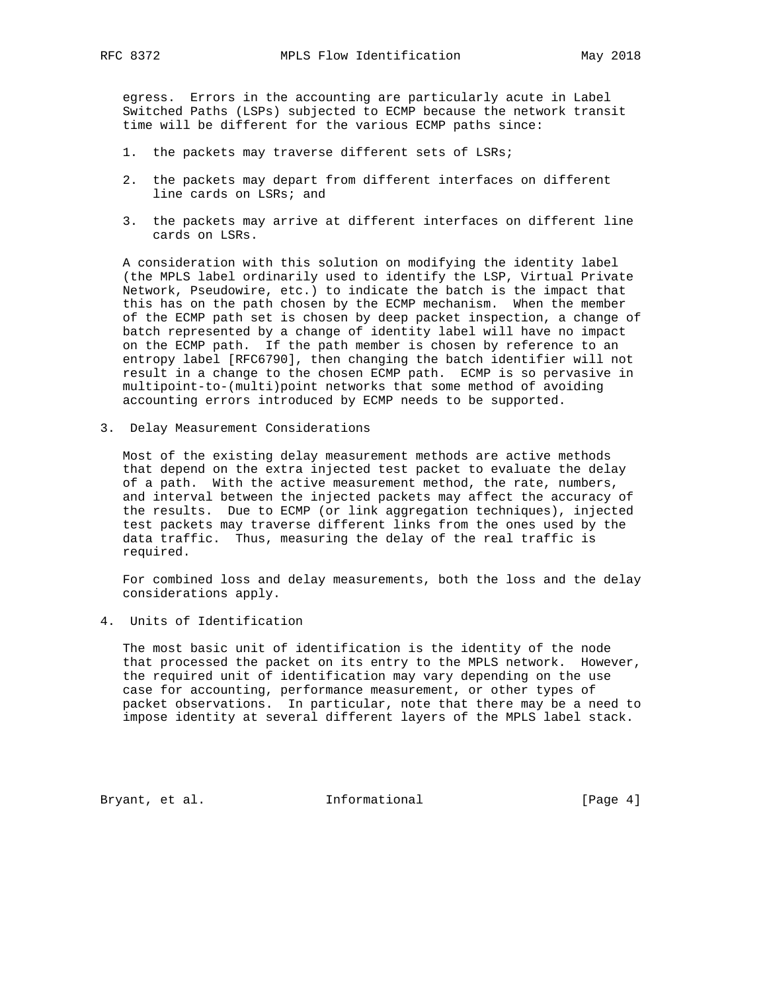egress. Errors in the accounting are particularly acute in Label Switched Paths (LSPs) subjected to ECMP because the network transit time will be different for the various ECMP paths since:

- 1. the packets may traverse different sets of LSRs;
- 2. the packets may depart from different interfaces on different line cards on LSRs; and
- 3. the packets may arrive at different interfaces on different line cards on LSRs.

 A consideration with this solution on modifying the identity label (the MPLS label ordinarily used to identify the LSP, Virtual Private Network, Pseudowire, etc.) to indicate the batch is the impact that this has on the path chosen by the ECMP mechanism. When the member of the ECMP path set is chosen by deep packet inspection, a change of batch represented by a change of identity label will have no impact on the ECMP path. If the path member is chosen by reference to an entropy label [RFC6790], then changing the batch identifier will not result in a change to the chosen ECMP path. ECMP is so pervasive in multipoint-to-(multi)point networks that some method of avoiding accounting errors introduced by ECMP needs to be supported.

3. Delay Measurement Considerations

 Most of the existing delay measurement methods are active methods that depend on the extra injected test packet to evaluate the delay of a path. With the active measurement method, the rate, numbers, and interval between the injected packets may affect the accuracy of the results. Due to ECMP (or link aggregation techniques), injected test packets may traverse different links from the ones used by the data traffic. Thus, measuring the delay of the real traffic is required.

 For combined loss and delay measurements, both the loss and the delay considerations apply.

4. Units of Identification

 The most basic unit of identification is the identity of the node that processed the packet on its entry to the MPLS network. However, the required unit of identification may vary depending on the use case for accounting, performance measurement, or other types of packet observations. In particular, note that there may be a need to impose identity at several different layers of the MPLS label stack.

Bryant, et al. 1nformational [Page 4]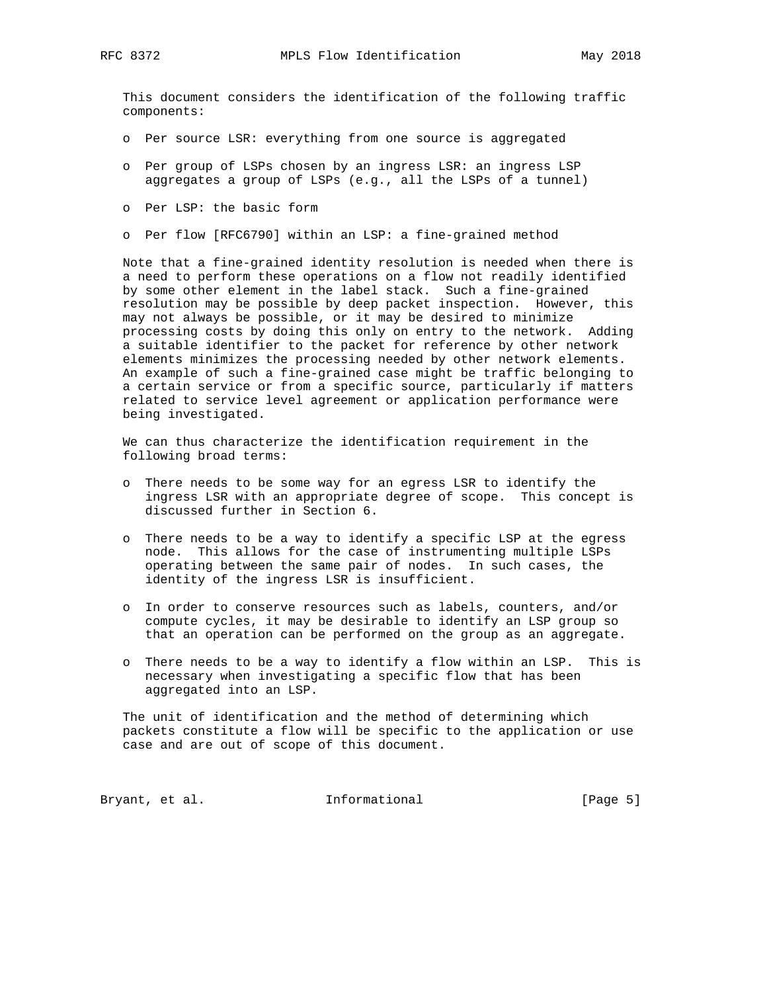This document considers the identification of the following traffic components:

- o Per source LSR: everything from one source is aggregated
- o Per group of LSPs chosen by an ingress LSR: an ingress LSP aggregates a group of LSPs (e.g., all the LSPs of a tunnel)
- o Per LSP: the basic form
- o Per flow [RFC6790] within an LSP: a fine-grained method

 Note that a fine-grained identity resolution is needed when there is a need to perform these operations on a flow not readily identified by some other element in the label stack. Such a fine-grained resolution may be possible by deep packet inspection. However, this may not always be possible, or it may be desired to minimize processing costs by doing this only on entry to the network. Adding a suitable identifier to the packet for reference by other network elements minimizes the processing needed by other network elements. An example of such a fine-grained case might be traffic belonging to a certain service or from a specific source, particularly if matters related to service level agreement or application performance were being investigated.

 We can thus characterize the identification requirement in the following broad terms:

- o There needs to be some way for an egress LSR to identify the ingress LSR with an appropriate degree of scope. This concept is discussed further in Section 6.
- o There needs to be a way to identify a specific LSP at the egress node. This allows for the case of instrumenting multiple LSPs operating between the same pair of nodes. In such cases, the identity of the ingress LSR is insufficient.
- o In order to conserve resources such as labels, counters, and/or compute cycles, it may be desirable to identify an LSP group so that an operation can be performed on the group as an aggregate.
- o There needs to be a way to identify a flow within an LSP. This is necessary when investigating a specific flow that has been aggregated into an LSP.

 The unit of identification and the method of determining which packets constitute a flow will be specific to the application or use case and are out of scope of this document.

Bryant, et al. 1nformational [Page 5]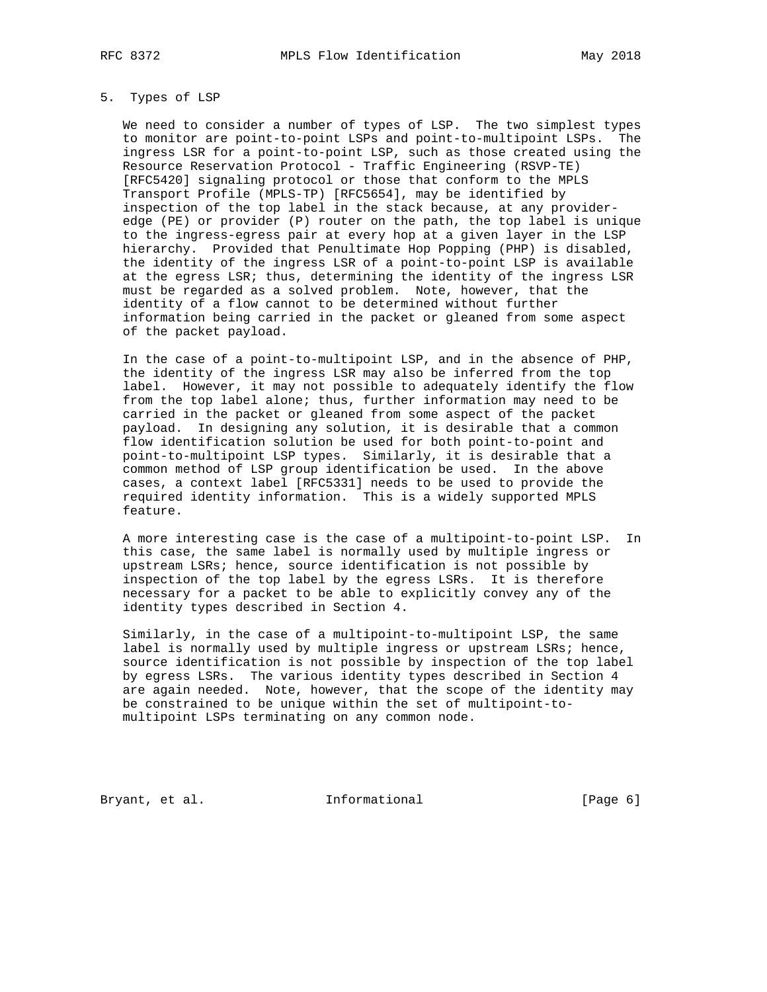#### 5. Types of LSP

 We need to consider a number of types of LSP. The two simplest types to monitor are point-to-point LSPs and point-to-multipoint LSPs. The ingress LSR for a point-to-point LSP, such as those created using the Resource Reservation Protocol - Traffic Engineering (RSVP-TE) [RFC5420] signaling protocol or those that conform to the MPLS Transport Profile (MPLS-TP) [RFC5654], may be identified by inspection of the top label in the stack because, at any provider edge (PE) or provider (P) router on the path, the top label is unique to the ingress-egress pair at every hop at a given layer in the LSP hierarchy. Provided that Penultimate Hop Popping (PHP) is disabled, the identity of the ingress LSR of a point-to-point LSP is available at the egress LSR; thus, determining the identity of the ingress LSR must be regarded as a solved problem. Note, however, that the identity of a flow cannot to be determined without further information being carried in the packet or gleaned from some aspect of the packet payload.

 In the case of a point-to-multipoint LSP, and in the absence of PHP, the identity of the ingress LSR may also be inferred from the top label. However, it may not possible to adequately identify the flow from the top label alone; thus, further information may need to be carried in the packet or gleaned from some aspect of the packet payload. In designing any solution, it is desirable that a common flow identification solution be used for both point-to-point and point-to-multipoint LSP types. Similarly, it is desirable that a common method of LSP group identification be used. In the above cases, a context label [RFC5331] needs to be used to provide the required identity information. This is a widely supported MPLS feature.

 A more interesting case is the case of a multipoint-to-point LSP. In this case, the same label is normally used by multiple ingress or upstream LSRs; hence, source identification is not possible by inspection of the top label by the egress LSRs. It is therefore necessary for a packet to be able to explicitly convey any of the identity types described in Section 4.

 Similarly, in the case of a multipoint-to-multipoint LSP, the same label is normally used by multiple ingress or upstream LSRs; hence, source identification is not possible by inspection of the top label by egress LSRs. The various identity types described in Section 4 are again needed. Note, however, that the scope of the identity may be constrained to be unique within the set of multipoint-to multipoint LSPs terminating on any common node.

Bryant, et al. 1nformational [Page 6]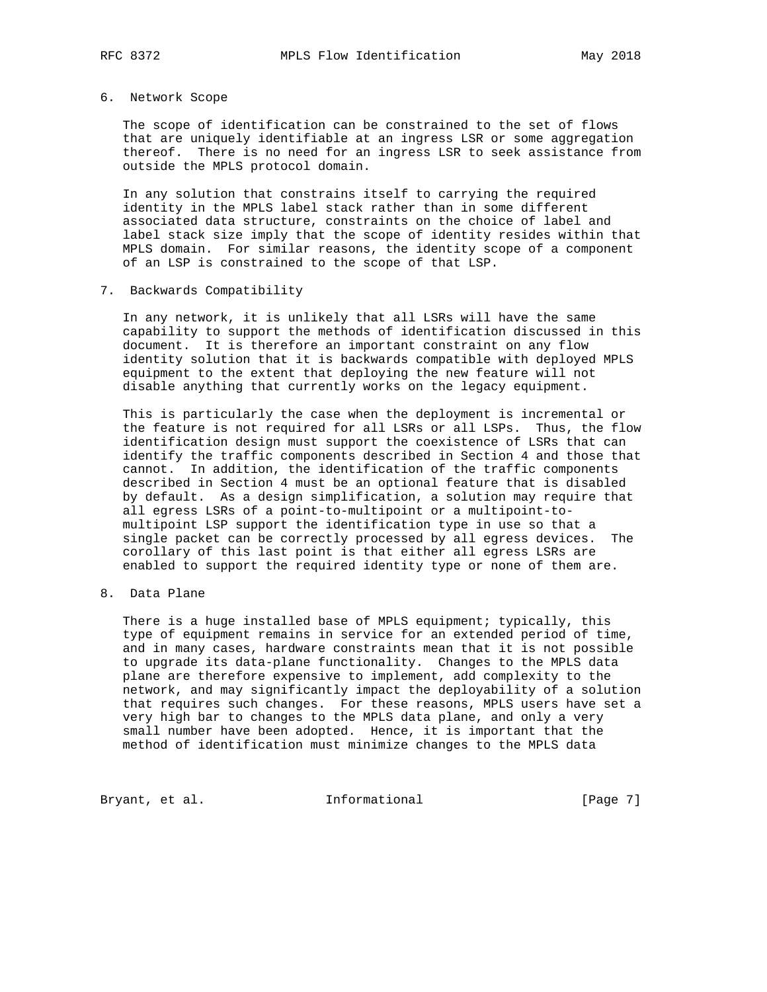# 6. Network Scope

 The scope of identification can be constrained to the set of flows that are uniquely identifiable at an ingress LSR or some aggregation thereof. There is no need for an ingress LSR to seek assistance from outside the MPLS protocol domain.

 In any solution that constrains itself to carrying the required identity in the MPLS label stack rather than in some different associated data structure, constraints on the choice of label and label stack size imply that the scope of identity resides within that MPLS domain. For similar reasons, the identity scope of a component of an LSP is constrained to the scope of that LSP.

### 7. Backwards Compatibility

 In any network, it is unlikely that all LSRs will have the same capability to support the methods of identification discussed in this document. It is therefore an important constraint on any flow identity solution that it is backwards compatible with deployed MPLS equipment to the extent that deploying the new feature will not disable anything that currently works on the legacy equipment.

 This is particularly the case when the deployment is incremental or the feature is not required for all LSRs or all LSPs. Thus, the flow identification design must support the coexistence of LSRs that can identify the traffic components described in Section 4 and those that cannot. In addition, the identification of the traffic components described in Section 4 must be an optional feature that is disabled by default. As a design simplification, a solution may require that all egress LSRs of a point-to-multipoint or a multipoint-to multipoint LSP support the identification type in use so that a single packet can be correctly processed by all egress devices. The corollary of this last point is that either all egress LSRs are enabled to support the required identity type or none of them are.

8. Data Plane

 There is a huge installed base of MPLS equipment; typically, this type of equipment remains in service for an extended period of time, and in many cases, hardware constraints mean that it is not possible to upgrade its data-plane functionality. Changes to the MPLS data plane are therefore expensive to implement, add complexity to the network, and may significantly impact the deployability of a solution that requires such changes. For these reasons, MPLS users have set a very high bar to changes to the MPLS data plane, and only a very small number have been adopted. Hence, it is important that the method of identification must minimize changes to the MPLS data

Bryant, et al. 1nformational [Page 7]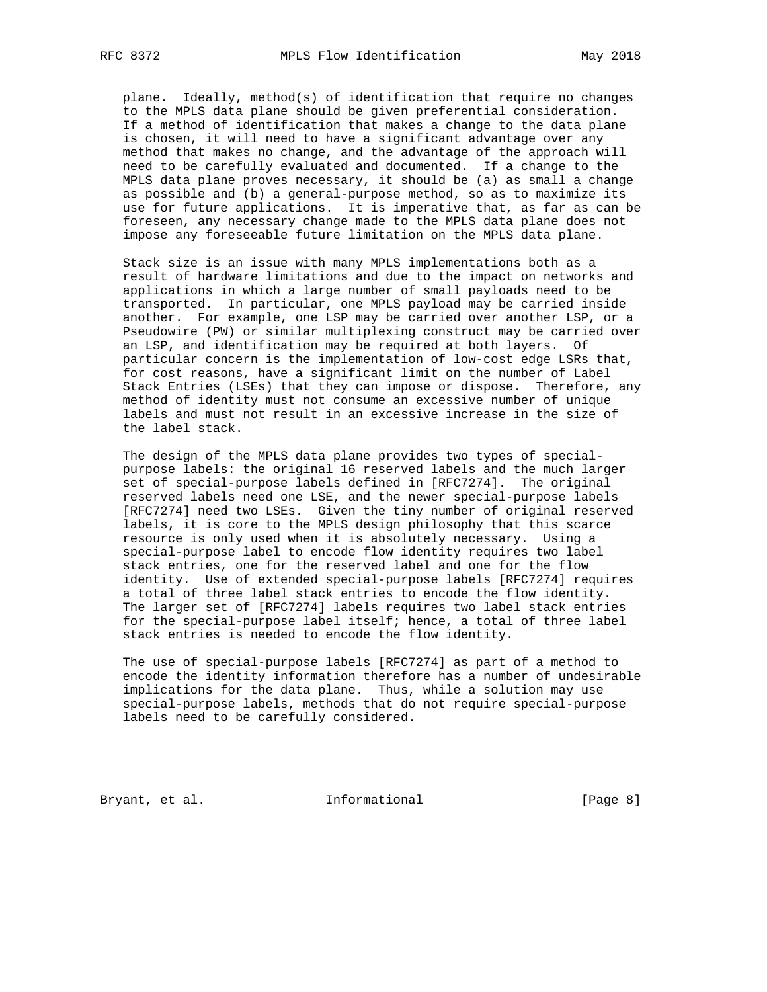plane. Ideally, method(s) of identification that require no changes to the MPLS data plane should be given preferential consideration. If a method of identification that makes a change to the data plane is chosen, it will need to have a significant advantage over any method that makes no change, and the advantage of the approach will need to be carefully evaluated and documented. If a change to the MPLS data plane proves necessary, it should be (a) as small a change as possible and (b) a general-purpose method, so as to maximize its use for future applications. It is imperative that, as far as can be foreseen, any necessary change made to the MPLS data plane does not impose any foreseeable future limitation on the MPLS data plane.

 Stack size is an issue with many MPLS implementations both as a result of hardware limitations and due to the impact on networks and applications in which a large number of small payloads need to be transported. In particular, one MPLS payload may be carried inside another. For example, one LSP may be carried over another LSP, or a Pseudowire (PW) or similar multiplexing construct may be carried over an LSP, and identification may be required at both layers. Of particular concern is the implementation of low-cost edge LSRs that, for cost reasons, have a significant limit on the number of Label Stack Entries (LSEs) that they can impose or dispose. Therefore, any method of identity must not consume an excessive number of unique labels and must not result in an excessive increase in the size of the label stack.

 The design of the MPLS data plane provides two types of special purpose labels: the original 16 reserved labels and the much larger set of special-purpose labels defined in [RFC7274]. The original reserved labels need one LSE, and the newer special-purpose labels [RFC7274] need two LSEs. Given the tiny number of original reserved labels, it is core to the MPLS design philosophy that this scarce resource is only used when it is absolutely necessary. Using a special-purpose label to encode flow identity requires two label stack entries, one for the reserved label and one for the flow identity. Use of extended special-purpose labels [RFC7274] requires a total of three label stack entries to encode the flow identity. The larger set of [RFC7274] labels requires two label stack entries for the special-purpose label itself; hence, a total of three label stack entries is needed to encode the flow identity.

 The use of special-purpose labels [RFC7274] as part of a method to encode the identity information therefore has a number of undesirable implications for the data plane. Thus, while a solution may use special-purpose labels, methods that do not require special-purpose labels need to be carefully considered.

Bryant, et al. 1nformational [Page 8]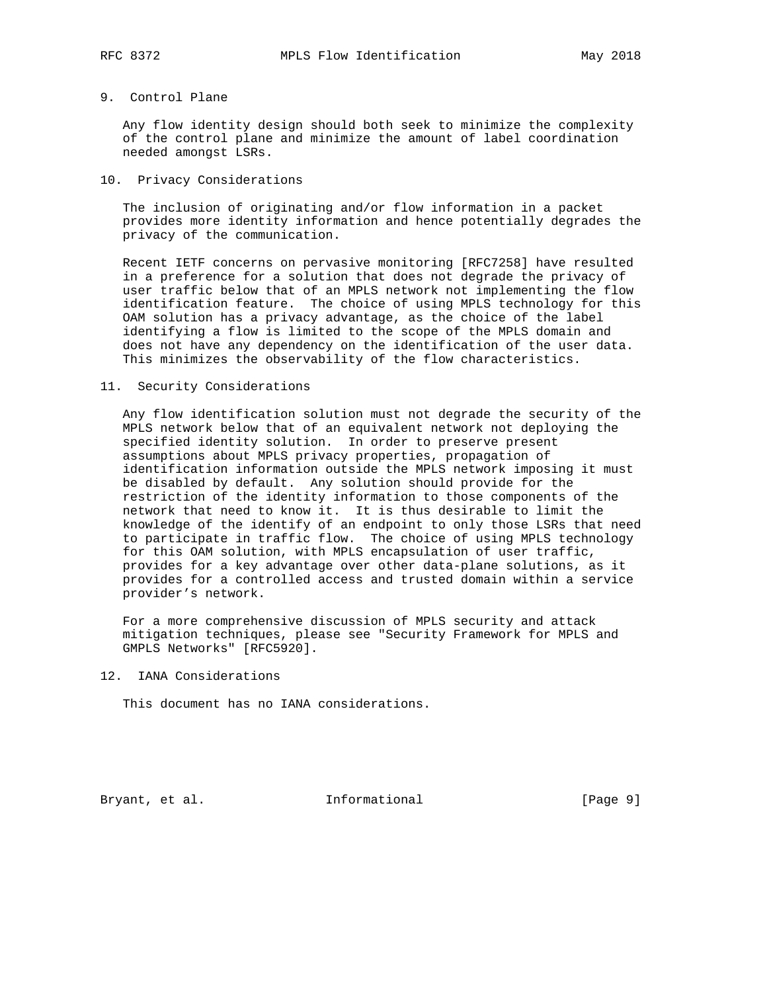### 9. Control Plane

 Any flow identity design should both seek to minimize the complexity of the control plane and minimize the amount of label coordination needed amongst LSRs.

### 10. Privacy Considerations

 The inclusion of originating and/or flow information in a packet provides more identity information and hence potentially degrades the privacy of the communication.

 Recent IETF concerns on pervasive monitoring [RFC7258] have resulted in a preference for a solution that does not degrade the privacy of user traffic below that of an MPLS network not implementing the flow identification feature. The choice of using MPLS technology for this OAM solution has a privacy advantage, as the choice of the label identifying a flow is limited to the scope of the MPLS domain and does not have any dependency on the identification of the user data. This minimizes the observability of the flow characteristics.

### 11. Security Considerations

 Any flow identification solution must not degrade the security of the MPLS network below that of an equivalent network not deploying the specified identity solution. In order to preserve present assumptions about MPLS privacy properties, propagation of identification information outside the MPLS network imposing it must be disabled by default. Any solution should provide for the restriction of the identity information to those components of the network that need to know it. It is thus desirable to limit the knowledge of the identify of an endpoint to only those LSRs that need to participate in traffic flow. The choice of using MPLS technology for this OAM solution, with MPLS encapsulation of user traffic, provides for a key advantage over other data-plane solutions, as it provides for a controlled access and trusted domain within a service provider's network.

 For a more comprehensive discussion of MPLS security and attack mitigation techniques, please see "Security Framework for MPLS and GMPLS Networks" [RFC5920].

12. IANA Considerations

This document has no IANA considerations.

Bryant, et al. Informational [Page 9]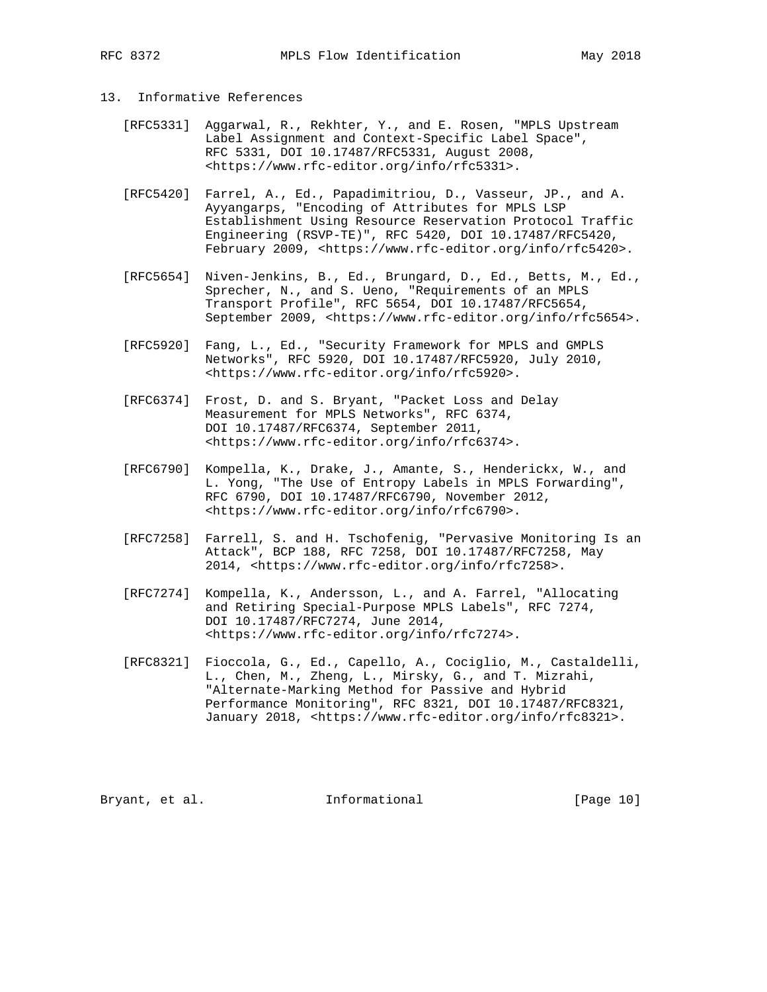# 13. Informative References

- [RFC5331] Aggarwal, R., Rekhter, Y., and E. Rosen, "MPLS Upstream Label Assignment and Context-Specific Label Space", RFC 5331, DOI 10.17487/RFC5331, August 2008, <https://www.rfc-editor.org/info/rfc5331>.
- [RFC5420] Farrel, A., Ed., Papadimitriou, D., Vasseur, JP., and A. Ayyangarps, "Encoding of Attributes for MPLS LSP Establishment Using Resource Reservation Protocol Traffic Engineering (RSVP-TE)", RFC 5420, DOI 10.17487/RFC5420, February 2009, <https://www.rfc-editor.org/info/rfc5420>.
- [RFC5654] Niven-Jenkins, B., Ed., Brungard, D., Ed., Betts, M., Ed., Sprecher, N., and S. Ueno, "Requirements of an MPLS Transport Profile", RFC 5654, DOI 10.17487/RFC5654, September 2009, <https://www.rfc-editor.org/info/rfc5654>.
- [RFC5920] Fang, L., Ed., "Security Framework for MPLS and GMPLS Networks", RFC 5920, DOI 10.17487/RFC5920, July 2010, <https://www.rfc-editor.org/info/rfc5920>.
- [RFC6374] Frost, D. and S. Bryant, "Packet Loss and Delay Measurement for MPLS Networks", RFC 6374, DOI 10.17487/RFC6374, September 2011, <https://www.rfc-editor.org/info/rfc6374>.
- [RFC6790] Kompella, K., Drake, J., Amante, S., Henderickx, W., and L. Yong, "The Use of Entropy Labels in MPLS Forwarding", RFC 6790, DOI 10.17487/RFC6790, November 2012, <https://www.rfc-editor.org/info/rfc6790>.
- [RFC7258] Farrell, S. and H. Tschofenig, "Pervasive Monitoring Is an Attack", BCP 188, RFC 7258, DOI 10.17487/RFC7258, May 2014, <https://www.rfc-editor.org/info/rfc7258>.
- [RFC7274] Kompella, K., Andersson, L., and A. Farrel, "Allocating and Retiring Special-Purpose MPLS Labels", RFC 7274, DOI 10.17487/RFC7274, June 2014, <https://www.rfc-editor.org/info/rfc7274>.
- [RFC8321] Fioccola, G., Ed., Capello, A., Cociglio, M., Castaldelli, L., Chen, M., Zheng, L., Mirsky, G., and T. Mizrahi, "Alternate-Marking Method for Passive and Hybrid Performance Monitoring", RFC 8321, DOI 10.17487/RFC8321, January 2018, <https://www.rfc-editor.org/info/rfc8321>.

Bryant, et al. 1nformational [Page 10]